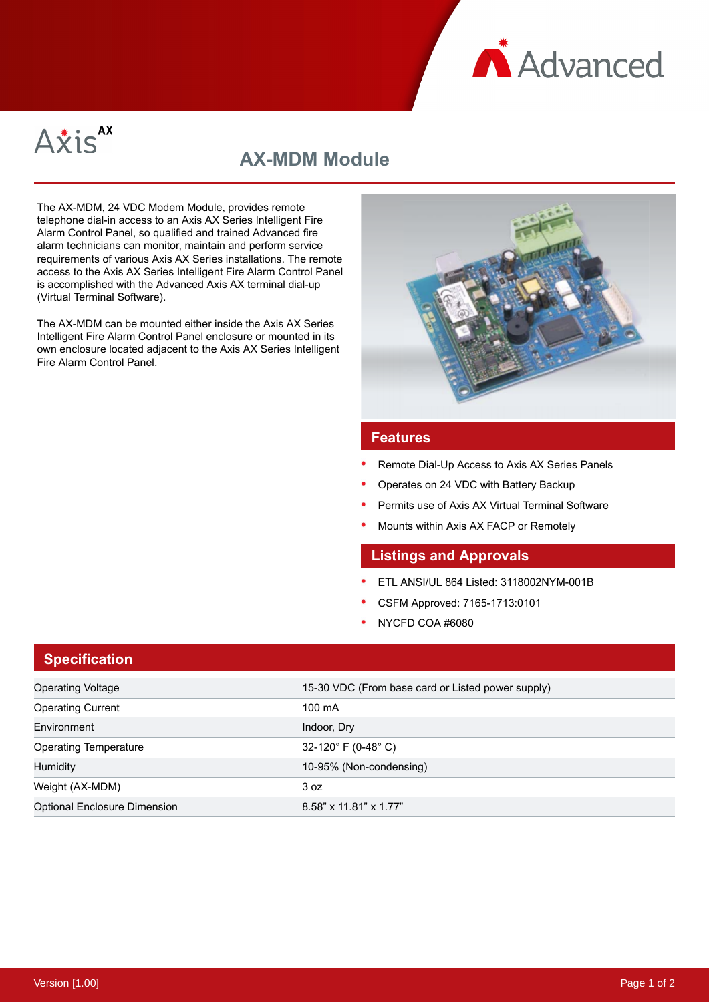



# **AX-MDM Module**

The AX-MDM, 24 VDC Modem Module, provides remote telephone dial-in access to an Axis AX Series Intelligent Fire Alarm Control Panel, so qualified and trained Advanced fire alarm technicians can monitor, maintain and perform service requirements of various Axis AX Series installations. The remote access to the Axis AX Series Intelligent Fire Alarm Control Panel is accomplished with the Advanced Axis AX terminal dial-up (Virtual Terminal Software).

The AX-MDM can be mounted either inside the Axis AX Series Intelligent Fire Alarm Control Panel enclosure or mounted in its own enclosure located adjacent to the Axis AX Series Intelligent Fire Alarm Control Panel.



#### **Features**

- Remote Dial-Up Access to Axis AX Series Panels
- Operates on 24 VDC with Battery Backup
- Permits use of Axis AX Virtual Terminal Software
- Mounts within Axis AX FACP or Remotely

### **Listings and Approvals**

- ETL ANSI/UL 864 Listed: 3118002NYM-001B
- CSFM Approved: 7165-1713:0101
- NYCFD COA #6080

#### **Specification**

| <b>Operating Voltage</b>            | 15-30 VDC (From base card or Listed power supply) |
|-------------------------------------|---------------------------------------------------|
| <b>Operating Current</b>            | $100 \text{ mA}$                                  |
| Environment                         | Indoor, Dry                                       |
| <b>Operating Temperature</b>        | 32-120 $^{\circ}$ F (0-48 $^{\circ}$ C)           |
| <b>Humidity</b>                     | 10-95% (Non-condensing)                           |
| Weight (AX-MDM)                     | 3 oz                                              |
| <b>Optional Enclosure Dimension</b> | 8.58" x 11.81" x 1.77"                            |